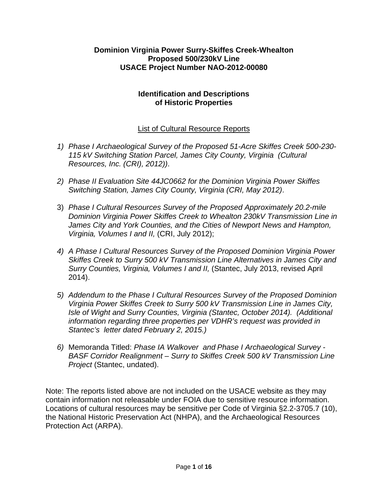# **Dominion Virginia Power Surry-Skiffes Creek-Whealton Proposed 500/230kV Line USACE Project Number NAO-2012-00080**

## **Identification and Descriptions of Historic Properties**

# List of Cultural Resource Reports

- *1) Phase I Archaeological Survey of the Proposed 51-Acre Skiffes Creek 500-230- 115 kV Switching Station Parcel, James City County, Virginia (Cultural Resources, Inc. (CRI), 2012))*.
- *2) Phase II Evaluation Site 44JC0662 for the Dominion Virginia Power Skiffes Switching Station, James City County, Virginia (CRI, May 2012)*.
- 3) *Phase I Cultural Resources Survey of the Proposed Approximately 20.2-mile Dominion Virginia Power Skiffes Creek to Whealton 230kV Transmission Line in James City and York Counties, and the Cities of Newport News and Hampton, Virginia, Volumes I and II,* (CRI, July 2012);
- *4) A Phase I Cultural Resources Survey of the Proposed Dominion Virginia Power Skiffes Creek to Surry 500 kV Transmission Line Alternatives in James City and Surry Counties, Virginia, Volumes I and II,* (Stantec, July 2013, revised April 2014).
- *5) Addendum to the Phase I Cultural Resources Survey of the Proposed Dominion Virginia Power Skiffes Creek to Surry 500 kV Transmission Line in James City, Isle of Wight and Surry Counties, Virginia (Stantec, October 2014). (Additional information regarding three properties per VDHR's request was provided in Stantec's letter dated February 2, 2015.)*
- *6)* Memoranda Titled: *Phase IA Walkover and Phase I Archaeological Survey - BASF Corridor Realignment – Surry to Skiffes Creek 500 kV Transmission Line Project* (Stantec, undated).

Note: The reports listed above are not included on the USACE website as they may contain information not releasable under FOIA due to sensitive resource information. Locations of cultural resources may be sensitive per Code of Virginia §2.2-3705.7 (10), the National Historic Preservation Act (NHPA), and the Archaeological Resources Protection Act (ARPA).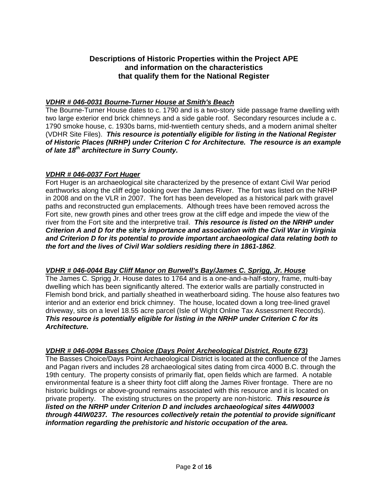# **Descriptions of Historic Properties within the Project APE and information on the characteristics that qualify them for the National Register**

## *VDHR # 046-0031 Bourne-Turner House at Smith's Beach*

The Bourne-Turner House dates to c. 1790 and is a two-story side passage frame dwelling with two large exterior end brick chimneys and a side gable roof. Secondary resources include a c. 1790 smoke house, c. 1930s barns, mid-twentieth century sheds, and a modern animal shelter (VDHR Site Files). *This resource is potentially eligible for listing in the National Register of Historic Places (NRHP) under Criterion C for Architecture. The resource is an example of late 18th architecture in Surry County.*

### *VDHR # 046-0037 Fort Huger*

Fort Huger is an archaeological site characterized by the presence of extant Civil War period earthworks along the cliff edge looking over the James River. The fort was listed on the NRHP in 2008 and on the VLR in 2007. The fort has been developed as a historical park with gravel paths and reconstructed gun emplacements. Although trees have been removed across the Fort site, new growth pines and other trees grow at the cliff edge and impede the view of the river from the Fort site and the interpretive trail. *This resource is listed on the NRHP under Criterion A and D for the site's importance and association with the Civil War in Virginia and Criterion D for its potential to provide important archaeological data relating both to the fort and the lives of Civil War soldiers residing there in 1861-1862*.

## *VDHR # 046-0044 Bay Cliff Manor on Burwell's Bay/James C. Sprigg, Jr. House*

The James C. Sprigg Jr. House dates to 1764 and is a one-and-a-half-story, frame, multi-bay dwelling which has been significantly altered. The exterior walls are partially constructed in Flemish bond brick, and partially sheathed in weatherboard siding. The house also features two interior and an exterior end brick chimney. The house, located down a long tree-lined gravel driveway, sits on a level 18.55 acre parcel (Isle of Wight Online Tax Assessment Records). *This resource is potentially eligible for listing in the NRHP under Criterion C for its Architecture.*

## *VDHR # 046-0094 Basses Choice (Days Point Archeological District, Route 673)*

The Basses Choice/Days Point Archaeological District is located at the confluence of the James and Pagan rivers and includes 28 archaeological sites dating from circa 4000 B.C. through the 19th century. The property consists of primarily flat, open fields which are farmed. A notable environmental feature is a sheer thirty foot cliff along the James River frontage. There are no historic buildings or above-ground remains associated with this resource and it is located on private property. The existing structures on the property are non-historic. *This resource is listed on the NRHP under Criterion D and includes archaeological sites 44IW0003 through 44IW0237. The resources collectively retain the potential to provide significant information regarding the prehistoric and historic occupation of the area.*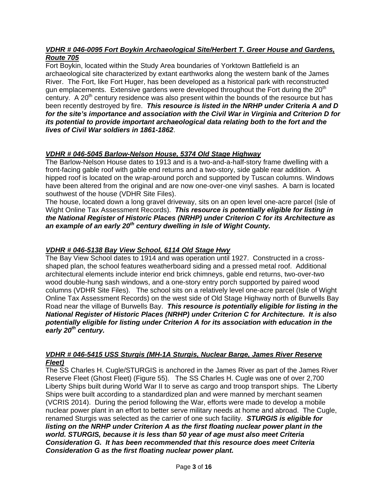### *VDHR # 046-0095 Fort Boykin Archaeological Site/Herbert T. Greer House and Gardens, Route 705*

Fort Boykin, located within the Study Area boundaries of Yorktown Battlefield is an archaeological site characterized by extant earthworks along the western bank of the James River. The Fort, like Fort Huger, has been developed as a historical park with reconstructed gun emplacements. Extensive gardens were developed throughout the Fort during the  $20<sup>th</sup>$ century. A  $20<sup>th</sup>$  century residence was also present within the bounds of the resource but has been recently destroyed by fire. *This resource is listed in the NRHP under Criteria A and D for the site's importance and association with the Civil War in Virginia and Criterion D for its potential to provide important archaeological data relating both to the fort and the lives of Civil War soldiers in 1861-1862*.

# *VDHR # 046-5045 Barlow-Nelson House, 5374 Old Stage Highway*

The Barlow-Nelson House dates to 1913 and is a two-and-a-half-story frame dwelling with a front-facing gable roof with gable end returns and a two-story, side gable rear addition. A hipped roof is located on the wrap-around porch and supported by Tuscan columns. Windows have been altered from the original and are now one-over-one vinyl sashes. A barn is located southwest of the house (VDHR Site Files).

The house, located down a long gravel driveway, sits on an open level one-acre parcel (Isle of Wight Online Tax Assessment Records). *This resource is potentially eligible for listing in the National Register of Historic Places (NRHP) under Criterion C for its Architecture as an example of an early 20th century dwelling in Isle of Wight County.*

## *VDHR # 046-5138 Bay View School, 6114 Old Stage Hwy*

The Bay View School dates to 1914 and was operation until 1927. Constructed in a crossshaped plan, the school features weatherboard siding and a pressed metal roof. Additional architectural elements include interior end brick chimneys, gable end returns, two-over-two wood double-hung sash windows, and a one-story entry porch supported by paired wood columns (VDHR Site Files). The school sits on a relatively level one-acre parcel (Isle of Wight Online Tax Assessment Records) on the west side of Old Stage Highway north of Burwells Bay Road near the village of Burwells Bay. *This resource is potentially eligible for listing in the National Register of Historic Places (NRHP) under Criterion C for Architecture. It is also potentially eligible for listing under Criterion A for its association with education in the early 20th century.*

### *VDHR # 046-5415 USS Sturgis (MH-1A Sturgis, Nuclear Barge, James River Reserve Fleet)*

The SS Charles H. Cugle/STURGIS is anchored in the James River as part of the James River Reserve Fleet (Ghost Fleet) (Figure 55). The SS Charles H. Cugle was one of over 2,700 Liberty Ships built during World War II to serve as cargo and troop transport ships. The Liberty Ships were built according to a standardized plan and were manned by merchant seamen (VCRIS 2014). During the period following the War, efforts were made to develop a mobile nuclear power plant in an effort to better serve military needs at home and abroad. The Cugle, renamed Sturgis was selected as the carrier of one such facility. *STURGIS is eligible for listing on the NRHP under Criterion A as the first floating nuclear power plant in the world. STURGIS, because it is less than 50 year of age must also meet Criteria Consideration G. It has been recommended that this resource does meet Criteria Consideration G as the first floating nuclear power plant.*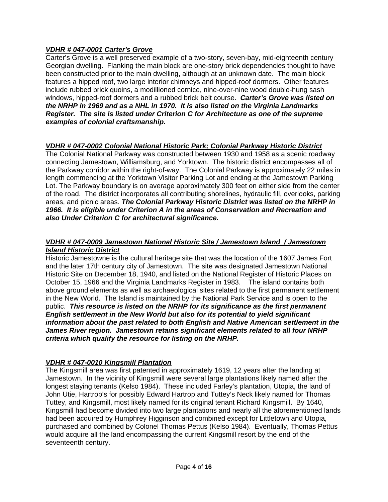## *VDHR # 047-0001 Carter's Grove*

Carter's Grove is a well preserved example of a two-story, seven-bay, mid-eighteenth century Georgian dwelling. Flanking the main block are one-story brick dependencies thought to have been constructed prior to the main dwelling, although at an unknown date. The main block features a hipped roof, two large interior chimneys and hipped-roof dormers. Other features include rubbed brick quoins, a modillioned cornice, nine-over-nine wood double-hung sash windows, hipped-roof dormers and a rubbed brick belt course. *Carter's Grove was listed on the NRHP in 1969 and as a NHL in 1970. It is also listed on the Virginia Landmarks Register. The site is listed under Criterion C for Architecture as one of the supreme examples of colonial craftsmanship.* 

# *VDHR # 047-0002 Colonial National Historic Park; Colonial Parkway Historic District*

The Colonial National Parkway was constructed between 1930 and 1958 as a scenic roadway connecting Jamestown, Williamsburg, and Yorktown. The historic district encompasses all of the Parkway corridor within the right-of-way. The Colonial Parkway is approximately 22 miles in length commencing at the Yorktown Visitor Parking Lot and ending at the Jamestown Parking Lot. The Parkway boundary is on average approximately 300 feet on either side from the center of the road. The district incorporates all contributing shorelines, hydraulic fill, overlooks, parking areas, and picnic areas. *The Colonial Parkway Historic District was listed on the NRHP in 1966. It is eligible under Criterion A in the areas of Conservation and Recreation and also Under Criterion C for architectural significance.* 

### *VDHR # 047-0009 Jamestown National Historic Site / Jamestown Island / Jamestown Island Historic District*

Historic Jamestowne is the cultural heritage site that was the location of the 1607 James Fort and the later 17th century city of Jamestown. The site was designated Jamestown National Historic Site on December 18, 1940, and listed on the National Register of Historic Places on October 15, 1966 and the Virginia Landmarks Register in 1983. The island contains both above ground elements as well as archaeological sites related to the first permanent settlement in the New World. The Island is maintained by the National Park Service and is open to the public. *This resource is listed on the NRHP for its significance as the first permanent English settlement in the New World but also for its potential to yield significant information about the past related to both English and Native American settlement in the James River region. Jamestown retains significant elements related to all four NRHP criteria which qualify the resource for listing on the NRHP.*

# *VDHR # 047-0010 Kingsmill Plantation*

The Kingsmill area was first patented in approximately 1619, 12 years after the landing at Jamestown. In the vicinity of Kingsmill were several large plantations likely named after the longest staying tenants (Kelso 1984). These included Farley's plantation, Utopia, the land of John Utie, Hartrop's for possibly Edward Hartrop and Tuttey's Neck likely named for Thomas Tuttey, and Kingsmill, most likely named for its original tenant Richard Kingsmill. By 1640, Kingsmill had become divided into two large plantations and nearly all the aforementioned lands had been acquired by Humphrey Higginson and combined except for Littletown and Utopia, purchased and combined by Colonel Thomas Pettus (Kelso 1984). Eventually, Thomas Pettus would acquire all the land encompassing the current Kingsmill resort by the end of the seventeenth century.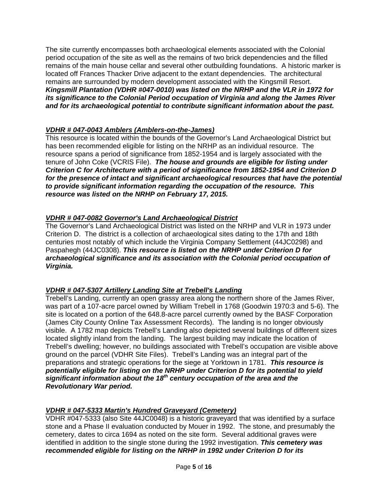The site currently encompasses both archaeological elements associated with the Colonial period occupation of the site as well as the remains of two brick dependencies and the filled remains of the main house cellar and several other outbuilding foundations. A historic marker is located off Frances Thacker Drive adjacent to the extant dependencies. The architectural remains are surrounded by modern development associated with the Kingsmill Resort. *Kingsmill Plantation (VDHR #047-0010) was listed on the NRHP and the VLR in 1972 for its significance to the Colonial Period occupation of Virginia and along the James River and for its archaeological potential to contribute significant information about the past.*

# *VDHR # 047-0043 Amblers (Amblers-on-the-James)*

This resource is located within the bounds of the Governor's Land Archaeological District but has been recommended eligible for listing on the NRHP as an individual resource. The resource spans a period of significance from 1852-1954 and is largely associated with the tenure of John Coke (VCRIS File). *The house and grounds are eligible for listing under Criterion C for Architecture with a period of significance from 1852-1954 and Criterion D for the presence of intact and significant archaeological resources that have the potential to provide significant information regarding the occupation of the resource. This resource was listed on the NRHP on February 17, 2015.*

# *VDHR # 047-0082 Governor's Land Archaeological District*

The Governor's Land Archaeological District was listed on the NRHP and VLR in 1973 under Criterion D. The district is a collection of archaeological sites dating to the 17th and 18th centuries most notably of which include the Virginia Company Settlement (44JC0298) and Paspahegh (44JC0308). *This resource is listed on the NRHP under Criterion D for archaeological significance and its association with the Colonial period occupation of Virginia.* 

# *VDHR # 047-5307 Artillery Landing Site at Trebell's Landing*

Trebell's Landing, currently an open grassy area along the northern shore of the James River, was part of a 107-acre parcel owned by William Trebell in 1768 (Goodwin 1970:3 and 5-6). The site is located on a portion of the 648.8-acre parcel currently owned by the BASF Corporation (James City County Online Tax Assessment Records). The landing is no longer obviously visible. A 1782 map depicts Trebell's Landing also depicted several buildings of different sizes located slightly inland from the landing. The largest building may indicate the location of Trebell's dwelling; however, no buildings associated with Trebell's occupation are visible above ground on the parcel (VDHR Site Files). Trebell's Landing was an integral part of the preparations and strategic operations for the siege at Yorktown in 1781. *This resource is potentially eligible for listing on the NRHP under Criterion D for its potential to yield significant information about the 18th century occupation of the area and the Revolutionary War period.*

# *VDHR # 047-5333 Martin's Hundred Graveyard (Cemetery)*

VDHR #047-5333 (also Site 44JC0048) is a historic graveyard that was identified by a surface stone and a Phase II evaluation conducted by Mouer in 1992. The stone, and presumably the cemetery, dates to circa 1694 as noted on the site form. Several additional graves were identified in addition to the single stone during the 1992 investigation. *This cemetery was recommended eligible for listing on the NRHP in 1992 under Criterion D for its*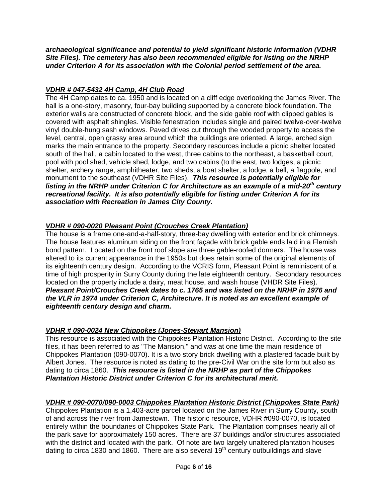*archaeological significance and potential to yield significant historic information (VDHR Site Files). The cemetery has also been recommended eligible for listing on the NRHP under Criterion A for its association with the Colonial period settlement of the area.*

## *VDHR # 047-5432 4H Camp, 4H Club Road*

The 4H Camp dates to ca. 1950 and is located on a cliff edge overlooking the James River. The hall is a one-story, masonry, four-bay building supported by a concrete block foundation. The exterior walls are constructed of concrete block, and the side gable roof with clipped gables is covered with asphalt shingles. Visible fenestration includes single and paired twelve-over-twelve vinyl double-hung sash windows. Paved drives cut through the wooded property to access the level, central, open grassy area around which the buildings are oriented. A large, arched sign marks the main entrance to the property. Secondary resources include a picnic shelter located south of the hall, a cabin located to the west, three cabins to the northeast, a basketball court, pool with pool shed, vehicle shed, lodge, and two cabins (to the east, two lodges, a picnic shelter, archery range, amphitheater, two sheds, a boat shelter, a lodge, a bell, a flagpole, and monument to the southeast (VDHR Site Files). *This resource is potentially eligible for listing in the NRHP under Criterion C for Architecture as an example of a mid-20th century recreational facility. It is also potentially eligible for listing under Criterion A for its association with Recreation in James City County.*

# *VDHR # 090-0020 Pleasant Point (Crouches Creek Plantation)*

The house is a frame one-and-a-half-story, three-bay dwelling with exterior end brick chimneys. The house features aluminum siding on the front façade with brick gable ends laid in a Flemish bond pattern. Located on the front roof slope are three gable-roofed dormers. The house was altered to its current appearance in the 1950s but does retain some of the original elements of its eighteenth century design. According to the VCRIS form, Pleasant Point is reminiscent of a time of high prosperity in Surry County during the late eighteenth century. Secondary resources located on the property include a dairy, meat house, and wash house (VHDR Site Files). *Pleasant Point/Crouches Creek dates to c. 1765 and was listed on the NRHP in 1976 and the VLR in 1974 under Criterion C, Architecture. It is noted as an excellent example of eighteenth century design and charm.*

## *VDHR # 090-0024 New Chippokes (Jones-Stewart Mansion)*

This resource is associated with the Chippokes Plantation Historic District. According to the site files, it has been referred to as "The Mansion," and was at one time the main residence of Chippokes Plantation (090-0070). It is a two story brick dwelling with a plastered facade built by Albert Jones. The resource is noted as dating to the pre-Civil War on the site form but also as dating to circa 1860. *This resource is listed in the NRHP as part of the Chippokes Plantation Historic District under Criterion C for its architectural merit.*

## *VDHR # 090-0070/090-0003 Chippokes Plantation Historic District (Chippokes State Park)*

Chippokes Plantation is a 1,403-acre parcel located on the James River in Surry County, south of and across the river from Jamestown. The historic resource, VDHR #090-0070, is located entirely within the boundaries of Chippokes State Park. The Plantation comprises nearly all of the park save for approximately 150 acres. There are 37 buildings and/or structures associated with the district and located with the park. Of note are two largely unaltered plantation houses dating to circa 1830 and 1860. There are also several  $19<sup>th</sup>$  century outbuildings and slave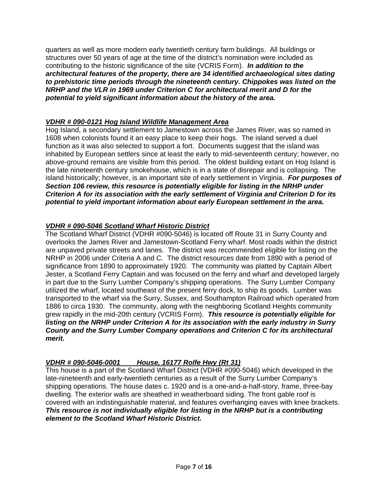quarters as well as more modern early twentieth century farm buildings. All buildings or structures over 50 years of age at the time of the district's nomination were included as contributing to the historic significance of the site (VCRIS Form). *In addition to the architectural features of the property, there are 34 identified archaeological sites dating to prehistoric time periods through the nineteenth century. Chippokes was listed on the NRHP and the VLR in 1969 under Criterion C for architectural merit and D for the potential to yield significant information about the history of the area.*

# *VDHR # 090-0121 Hog Island Wildlife Management Area*

Hog Island, a secondary settlement to Jamestown across the James River, was so named in 1608 when colonists found it an easy place to keep their hogs. The island served a duel function as it was also selected to support a fort. Documents suggest that the island was inhabited by European settlers since at least the early to mid-seventeenth century; however, no above-ground remains are visible from this period. The oldest building extant on Hog Island is the late nineteenth century smokehouse, which is in a state of disrepair and is collapsing. The island historically; however, is an important site of early settlement in Virginia. *For purposes of Section 106 review, this resource is potentially eligible for listing in the NRHP under Criterion A for its association with the early settlement of Virginia and Criterion D for its potential to yield important information about early European settlement in the area.*

# *VDHR # 090-5046 Scotland Wharf Historic District*

The Scotland Wharf District (VDHR #090-5046) is located off Route 31 in Surry County and overlooks the James River and Jamestown-Scotland Ferry wharf. Most roads within the district are unpaved private streets and lanes. The district was recommended eligible for listing on the NRHP in 2006 under Criteria A and C. The district resources date from 1890 with a period of significance from 1890 to approximately 1920. The community was platted by Captain Albert Jester, a Scotland Ferry Captain and was focused on the ferry and wharf and developed largely in part due to the Surry Lumber Company's shipping operations. The Surry Lumber Company utilized the wharf, located southeast of the present ferry dock, to ship its goods. Lumber was transported to the wharf via the Surry, Sussex, and Southampton Railroad which operated from 1886 to circa 1930. The community, along with the neighboring Scotland Heights community grew rapidly in the mid-20th century (VCRIS Form). *This resource is potentially eligible for listing on the NRHP under Criterion A for its association with the early industry in Surry County and the Surry Lumber Company operations and Criterion C for its architectural merit.*

## *VDHR # 090-5046-0001 House, 16177 Rolfe Hwy (Rt 31)*

This house is a part of the Scotland Wharf District (VDHR #090-5046) which developed in the late-nineteenth and early-twentieth centuries as a result of the Surry Lumber Company's shipping operations. The house dates c. 1920 and is a one-and-a-half-story, frame, three-bay dwelling. The exterior walls are sheathed in weatherboard siding. The front gable roof is covered with an indistinguishable material, and features overhanging eaves with knee brackets. *This resource is not individually eligible for listing in the NRHP but is a contributing element to the Scotland Wharf Historic District.*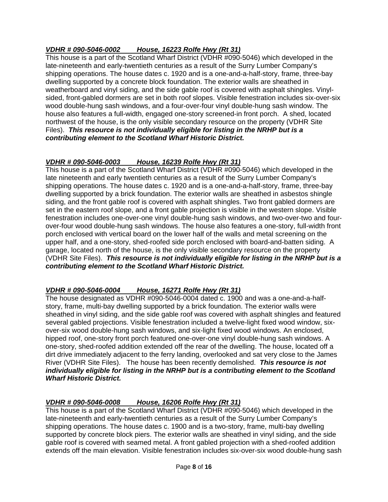# *VDHR # 090-5046-0002 House, 16223 Rolfe Hwy (Rt 31)*

This house is a part of the Scotland Wharf District (VDHR #090-5046) which developed in the late-nineteenth and early-twentieth centuries as a result of the Surry Lumber Company's shipping operations. The house dates c. 1920 and is a one-and-a-half-story, frame, three-bay dwelling supported by a concrete block foundation. The exterior walls are sheathed in weatherboard and vinyl siding, and the side gable roof is covered with asphalt shingles. Vinylsided, front-gabled dormers are set in both roof slopes. Visible fenestration includes six-over-six wood double-hung sash windows, and a four-over-four vinyl double-hung sash window. The house also features a full-width, engaged one-story screened-in front porch. A shed, located northwest of the house, is the only visible secondary resource on the property (VDHR Site Files). *This resource is not individually eligible for listing in the NRHP but is a contributing element to the Scotland Wharf Historic District.*

## *VDHR # 090-5046-0003 House, 16239 Rolfe Hwy (Rt 31)*

This house is a part of the Scotland Wharf District (VDHR #090-5046) which developed in the late nineteenth and early twentieth centuries as a result of the Surry Lumber Company's shipping operations. The house dates c. 1920 and is a one-and-a-half-story, frame, three-bay dwelling supported by a brick foundation. The exterior walls are sheathed in asbestos shingle siding, and the front gable roof is covered with asphalt shingles. Two front gabled dormers are set in the eastern roof slope, and a front gable projection is visible in the western slope. Visible fenestration includes one-over-one vinyl double-hung sash windows, and two-over-two and fourover-four wood double-hung sash windows. The house also features a one-story, full-width front porch enclosed with vertical board on the lower half of the walls and metal screening on the upper half, and a one-story, shed-roofed side porch enclosed with board-and-batten siding. A garage, located north of the house, is the only visible secondary resource on the property (VDHR Site Files). *This resource is not individually eligible for listing in the NRHP but is a contributing element to the Scotland Wharf Historic District.*

## *VDHR # 090-5046-0004 House, 16271 Rolfe Hwy (Rt 31)*

The house designated as VDHR #090-5046-0004 dated c. 1900 and was a one-and-a-halfstory, frame, multi-bay dwelling supported by a brick foundation. The exterior walls were sheathed in vinyl siding, and the side gable roof was covered with asphalt shingles and featured several gabled projections. Visible fenestration included a twelve-light fixed wood window, sixover-six wood double-hung sash windows, and six-light fixed wood windows. An enclosed, hipped roof, one-story front porch featured one-over-one vinyl double-hung sash windows. A one-story, shed-roofed addition extended off the rear of the dwelling. The house, located off a dirt drive immediately adjacent to the ferry landing, overlooked and sat very close to the James River (VDHR Site Files). The house has been recently demolished. *This resource is not individually eligible for listing in the NRHP but is a contributing element to the Scotland Wharf Historic District.*

## *VDHR # 090-5046-0008 House, 16206 Rolfe Hwy (Rt 31)*

This house is a part of the Scotland Wharf District (VDHR #090-5046) which developed in the late-nineteenth and early-twentieth centuries as a result of the Surry Lumber Company's shipping operations. The house dates c. 1900 and is a two-story, frame, multi-bay dwelling supported by concrete block piers. The exterior walls are sheathed in vinyl siding, and the side gable roof is covered with seamed metal. A front gabled projection with a shed-roofed addition extends off the main elevation. Visible fenestration includes six-over-six wood double-hung sash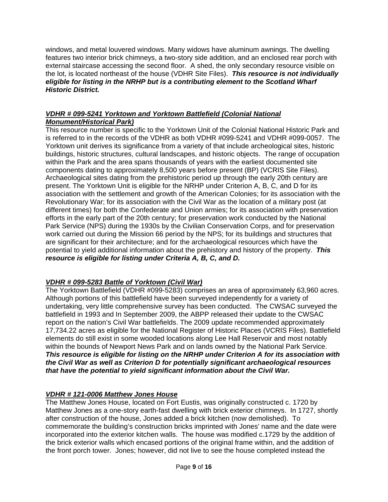windows, and metal louvered windows. Many widows have aluminum awnings. The dwelling features two interior brick chimneys, a two-story side addition, and an enclosed rear porch with external staircase accessing the second floor. A shed, the only secondary resource visible on the lot, is located northeast of the house (VDHR Site Files). *This resource is not individually eligible for listing in the NRHP but is a contributing element to the Scotland Wharf Historic District.*

### *VDHR # 099-5241 Yorktown and Yorktown Battlefield (Colonial National Monument/Historical Park)*

This resource number is specific to the Yorktown Unit of the Colonial National Historic Park and is referred to in the records of the VDHR as both VDHR #099-5241 and VDHR #099-0057. The Yorktown unit derives its significance from a variety of that include archeological sites, historic buildings, historic structures, cultural landscapes, and historic objects. The range of occupation within the Park and the area spans thousands of years with the earliest documented site components dating to approximately 8,500 years before present (BP) (VCRIS Site Files). Archaeological sites dating from the prehistoric period up through the early 20th century are present. The Yorktown Unit is eligible for the NRHP under Criterion A, B, C, and D for its association with the settlement and growth of the American Colonies; for its association with the Revolutionary War; for its association with the Civil War as the location of a military post (at different times) for both the Confederate and Union armies; for its association with preservation efforts in the early part of the 20th century; for preservation work conducted by the National Park Service (NPS) during the 1930s by the Civilian Conservation Corps, and for preservation work carried out during the Mission 66 period by the NPS; for its buildings and structures that are significant for their architecture; and for the archaeological resources which have the potential to yield additional information about the prehistory and history of the property. *This resource is eligible for listing under Criteria A, B, C, and D.*

# *VDHR # 099-5283 Battle of Yorktown (Civil War)*

The Yorktown Battlefield (VDHR #099-5283) comprises an area of approximately 63,960 acres. Although portions of this battlefield have been surveyed independently for a variety of undertaking, very little comprehensive survey has been conducted. The CWSAC surveyed the battlefield in 1993 and In September 2009, the ABPP released their update to the CWSAC report on the nation's Civil War battlefields. The 2009 update recommended approximately 17,734.22 acres as eligible for the National Register of Historic Places (VCRIS Files). Battlefield elements do still exist in some wooded locations along Lee Hall Reservoir and most notably within the bounds of Newport News Park and on lands owned by the National Park Service. *This resource is eligible for listing on the NRHP under Criterion A for its association with the Civil War as well as Criterion D for potentially significant archaeological resources that have the potential to yield significant information about the Civil War.*

# *VDHR # 121-0006 Matthew Jones House*

The Matthew Jones House, located on Fort Eustis, was originally constructed c. 1720 by Matthew Jones as a one-story earth-fast dwelling with brick exterior chimneys. In 1727, shortly after construction of the house, Jones added a brick kitchen (now demolished). To commemorate the building's construction bricks imprinted with Jones' name and the date were incorporated into the exterior kitchen walls. The house was modified c.1729 by the addition of the brick exterior walls which encased portions of the original frame within, and the addition of the front porch tower. Jones; however, did not live to see the house completed instead the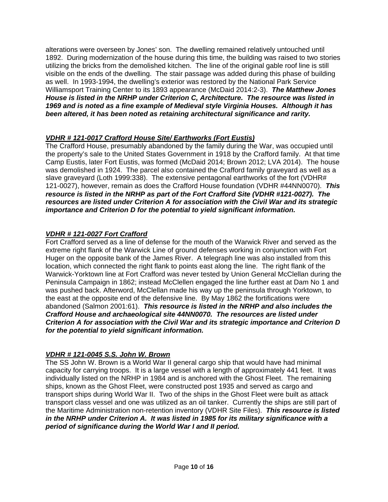alterations were overseen by Jones' son. The dwelling remained relatively untouched until 1892. During modernization of the house during this time, the building was raised to two stories utilizing the bricks from the demolished kitchen. The line of the original gable roof line is still visible on the ends of the dwelling. The stair passage was added during this phase of building as well. In 1993-1994, the dwelling's exterior was restored by the National Park Service Williamsport Training Center to its 1893 appearance (McDaid 2014:2-3). *The Matthew Jones House is listed in the NRHP under Criterion C, Architecture. The resource was listed in 1969 and is noted as a fine example of Medieval style Virginia Houses. Although it has been altered, it has been noted as retaining architectural significance and rarity.* 

# *VDHR # 121-0017 Crafford House Site/ Earthworks (Fort Eustis)*

The Crafford House, presumably abandoned by the family during the War, was occupied until the property's sale to the United States Government in 1918 by the Crafford family. At that time Camp Eustis, later Fort Eustis, was formed (McDaid 2014; Brown 2012; LVA 2014). The house was demolished in 1924. The parcel also contained the Crafford family graveyard as well as a slave graveyard (Loth 1999:338). The extensive pentagonal earthworks of the fort (VDHR# 121-0027), however, remain as does the Crafford House foundation (VDHR #44NN0070). *This resource is listed in the NRHP as part of the Fort Crafford Site (VDHR #121-0027). The resources are listed under Criterion A for association with the Civil War and its strategic importance and Criterion D for the potential to yield significant information.*

## *VDHR # 121-0027 Fort Crafford*

Fort Crafford served as a line of defense for the mouth of the Warwick River and served as the extreme right flank of the Warwick Line of ground defenses working in conjunction with Fort Huger on the opposite bank of the James River. A telegraph line was also installed from this location, which connected the right flank to points east along the line. The right flank of the Warwick-Yorktown line at Fort Crafford was never tested by Union General McClellan during the Peninsula Campaign in 1862; instead McClellen engaged the line further east at Dam No 1 and was pushed back. Afterword, McClellan made his way up the peninsula through Yorktown, to the east at the opposite end of the defensive line. By May 1862 the fortifications were abandoned (Salmon 2001:61). *This resource is listed in the NRHP and also includes the Crafford House and archaeological site 44NN0070. The resources are listed under Criterion A for association with the Civil War and its strategic importance and Criterion D for the potential to yield significant information.*

## *VDHR # 121-0045 S.S. John W. Brown*

The SS John W. Brown is a World War II general cargo ship that would have had minimal capacity for carrying troops. It is a large vessel with a length of approximately 441 feet. It was individually listed on the NRHP in 1984 and is anchored with the Ghost Fleet. The remaining ships, known as the Ghost Fleet, were constructed post 1935 and served as cargo and transport ships during World War II. Two of the ships in the Ghost Fleet were built as attack transport class vessel and one was utilized as an oil tanker. Currently the ships are still part of the Maritime Administration non-retention inventory (VDHR Site Files). *This resource is listed in the NRHP under Criterion A. It was listed in 1985 for its military significance with a period of significance during the World War I and II period.*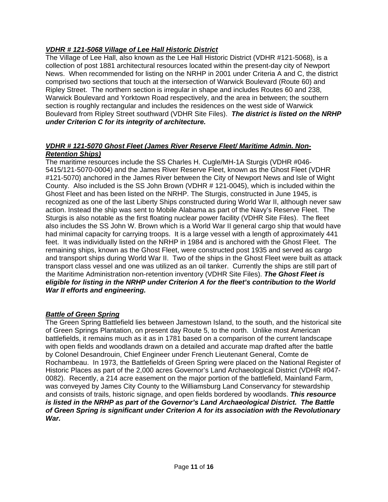# *VDHR # 121-5068 Village of Lee Hall Historic District*

The Village of Lee Hall, also known as the Lee Hall Historic District (VDHR #121-5068), is a collection of post 1881 architectural resources located within the present-day city of Newport News. When recommended for listing on the NRHP in 2001 under Criteria A and C, the district comprised two sections that touch at the intersection of Warwick Boulevard (Route 60) and Ripley Street. The northern section is irregular in shape and includes Routes 60 and 238, Warwick Boulevard and Yorktown Road respectively, and the area in between; the southern section is roughly rectangular and includes the residences on the west side of Warwick Boulevard from Ripley Street southward (VDHR Site Files). *The district is listed on the NRHP under Criterion C for its integrity of architecture.*

### *VDHR # 121-5070 Ghost Fleet (James River Reserve Fleet/ Maritime Admin. Non-Retention Ships)*

The maritime resources include the SS Charles H. Cugle/MH-1A Sturgis (VDHR #046- 5415/121-5070-0004) and the James River Reserve Fleet, known as the Ghost Fleet (VDHR #121-5070) anchored in the James River between the City of Newport News and Isle of Wight County. Also included is the SS John Brown (VDHR # 121-0045), which is included within the Ghost Fleet and has been listed on the NRHP. The Sturgis, constructed in June 1945, is recognized as one of the last Liberty Ships constructed during World War II, although never saw action. Instead the ship was sent to Mobile Alabama as part of the Navy's Reserve Fleet. The Sturgis is also notable as the first floating nuclear power facility (VDHR Site Files). The fleet also includes the SS John W. Brown which is a World War II general cargo ship that would have had minimal capacity for carrying troops. It is a large vessel with a length of approximately 441 feet. It was individually listed on the NRHP in 1984 and is anchored with the Ghost Fleet. The remaining ships, known as the Ghost Fleet, were constructed post 1935 and served as cargo and transport ships during World War II. Two of the ships in the Ghost Fleet were built as attack transport class vessel and one was utilized as an oil tanker. Currently the ships are still part of the Maritime Administration non-retention inventory (VDHR Site Files). *The Ghost Fleet is eligible for listing in the NRHP under Criterion A for the fleet's contribution to the World War II efforts and engineering.* 

## *Battle of Green Spring*

The Green Spring Battlefield lies between Jamestown Island, to the south, and the historical site of Green Springs Plantation, on present day Route 5, to the north. Unlike most American battlefields, it remains much as it as in 1781 based on a comparison of the current landscape with open fields and woodlands drawn on a detailed and accurate map drafted after the battle by Colonel Desandrouin, Chief Engineer under French Lieutenant General, Comte de Rochambeau. In 1973, the Battlefields of Green Spring were placed on the National Register of Historic Places as part of the 2,000 acres Governor's Land Archaeological District (VDHR #047- 0082). Recently, a 214 acre easement on the major portion of the battlefield, Mainland Farm, was conveyed by James City County to the Williamsburg Land Conservancy for stewardship and consists of trails, historic signage, and open fields bordered by woodlands. *This resource is listed in the NRHP as part of the Governor's Land Archaeological District. The Battle of Green Spring is significant under Criterion A for its association with the Revolutionary War.*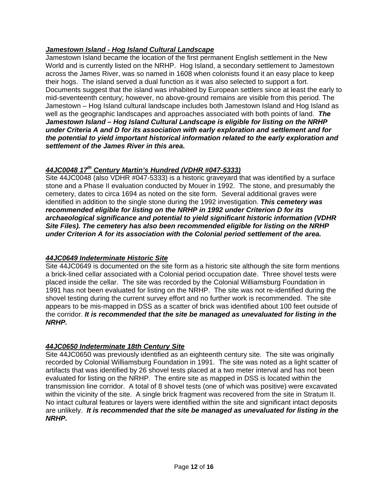# *Jamestown Island - Hog Island Cultural Landscape*

Jamestown Island became the location of the first permanent English settlement in the New World and is currently listed on the NRHP. Hog Island, a secondary settlement to Jamestown across the James River, was so named in 1608 when colonists found it an easy place to keep their hogs. The island served a dual function as it was also selected to support a fort. Documents suggest that the island was inhabited by European settlers since at least the early to mid-seventeenth century; however, no above-ground remains are visible from this period. The Jamestown – Hog Island cultural landscape includes both Jamestown Island and Hog Island as well as the geographic landscapes and approaches associated with both points of land. *The Jamestown Island – Hog Island Cultural Landscape is eligible for listing on the NRHP under Criteria A and D for its association with early exploration and settlement and for the potential to yield important historical information related to the early exploration and settlement of the James River in this area.* 

# *44JC0048 17th Century Martin's Hundred (VDHR #047-5333)*

Site 44JC0048 (also VDHR #047-5333) is a historic graveyard that was identified by a surface stone and a Phase II evaluation conducted by Mouer in 1992. The stone, and presumably the cemetery, dates to circa 1694 as noted on the site form. Several additional graves were identified in addition to the single stone during the 1992 investigation. *This cemetery was recommended eligible for listing on the NRHP in 1992 under Criterion D for its archaeological significance and potential to yield significant historic information (VDHR Site Files). The cemetery has also been recommended eligible for listing on the NRHP under Criterion A for its association with the Colonial period settlement of the area.*

## *44JC0649 Indeterminate Historic Site*

Site 44JC0649 is documented on the site form as a historic site although the site form mentions a brick-lined cellar associated with a Colonial period occupation date. Three shovel tests were placed inside the cellar. The site was recorded by the Colonial Williamsburg Foundation in 1991 has not been evaluated for listing on the NRHP. The site was not re-identified during the shovel testing during the current survey effort and no further work is recommended. The site appears to be mis-mapped in DSS as a scatter of brick was identified about 100 feet outside of the corridor. *It is recommended that the site be managed as unevaluated for listing in the NRHP.*

## *44JC0650 Indeterminate 18th Century Site*

Site 44JC0650 was previously identified as an eighteenth century site. The site was originally recorded by Colonial Williamsburg Foundation in 1991. The site was noted as a light scatter of artifacts that was identified by 26 shovel tests placed at a two meter interval and has not been evaluated for listing on the NRHP. The entire site as mapped in DSS is located within the transmission line corridor. A total of 8 shovel tests (one of which was positive) were excavated within the vicinity of the site. A single brick fragment was recovered from the site in Stratum II. No intact cultural features or layers were identified within the site and significant intact deposits are unlikely. *It is recommended that the site be managed as unevaluated for listing in the NRHP.*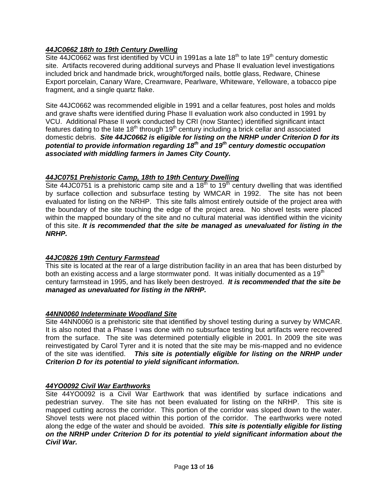## *44JC0662 18th to 19th Century Dwelling*

Site 44JC0662 was first identified by VCU in 1991as a late 18<sup>th</sup> to late 19<sup>th</sup> century domestic site. Artifacts recovered during additional surveys and Phase II evaluation level investigations included brick and handmade brick, wrought/forged nails, bottle glass, Redware, Chinese Export porcelain, Canary Ware, Creamware, Pearlware, Whiteware, Yelloware, a tobacco pipe fragment, and a single quartz flake.

Site 44JC0662 was recommended eligible in 1991 and a cellar features, post holes and molds and grave shafts were identified during Phase II evaluation work also conducted in 1991 by VCU. Additional Phase II work conducted by CRI (now Stantec) identified significant intact features dating to the late 18<sup>th</sup> through 19<sup>th</sup> century including a brick cellar and associated domestic debris. *Site 44JC0662 is eligible for listing on the NRHP under Criterion D for its potential to provide information regarding 18th and 19th century domestic occupation associated with middling farmers in James City County.* 

### *44JC0751 Prehistoric Camp, 18th to 19th Century Dwelling*

Site 44JC0751 is a prehistoric camp site and a  $18<sup>th</sup>$  to  $19<sup>th</sup>$  century dwelling that was identified by surface collection and subsurface testing by WMCAR in 1992. The site has not been evaluated for listing on the NRHP. This site falls almost entirely outside of the project area with the boundary of the site touching the edge of the project area. No shovel tests were placed within the mapped boundary of the site and no cultural material was identified within the vicinity of this site. *It is recommended that the site be managed as unevaluated for listing in the NRHP.*

### *44JC0826 19th Century Farmstead*

This site is located at the rear of a large distribution facility in an area that has been disturbed by both an existing access and a large stormwater pond. It was initially documented as a  $19<sup>th</sup>$ century farmstead in 1995, and has likely been destroyed. *It is recommended that the site be managed as unevaluated for listing in the NRHP.*

### *44NN0060 Indeterminate Woodland Site*

Site 44NN0060 is a prehistoric site that identified by shovel testing during a survey by WMCAR. It is also noted that a Phase I was done with no subsurface testing but artifacts were recovered from the surface. The site was determined potentially eligible in 2001. In 2009 the site was reinvestigated by Carol Tyrer and it is noted that the site may be mis-mapped and no evidence of the site was identified. *This site is potentially eligible for listing on the NRHP under Criterion D for its potential to yield significant information.*

### *44YO0092 Civil War Earthworks*

Site 44YO0092 is a Civil War Earthwork that was identified by surface indications and pedestrian survey. The site has not been evaluated for listing on the NRHP. This site is mapped cutting across the corridor. This portion of the corridor was sloped down to the water. Shovel tests were not placed within this portion of the corridor. The earthworks were noted along the edge of the water and should be avoided. *This site is potentially eligible for listing on the NRHP under Criterion D for its potential to yield significant information about the Civil War.*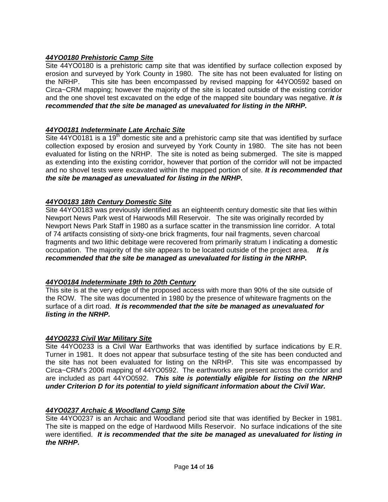## *44YO0180 Prehistoric Camp Site*

Site 44YO0180 is a prehistoric camp site that was identified by surface collection exposed by erosion and surveyed by York County in 1980. The site has not been evaluated for listing on the NRHP. This site has been encompassed by revised mapping for 44YO0592 based on Circa~CRM mapping; however the majority of the site is located outside of the existing corridor and the one shovel test excavated on the edge of the mapped site boundary was negative. *It is recommended that the site be managed as unevaluated for listing in the NRHP.*

### *44YO0181 Indeterminate Late Archaic Site*

Site 44YO0181 is a 19<sup>th</sup> domestic site and a prehistoric camp site that was identified by surface collection exposed by erosion and surveyed by York County in 1980. The site has not been evaluated for listing on the NRHP. The site is noted as being submerged. The site is mapped as extending into the existing corridor, however that portion of the corridor will not be impacted and no shovel tests were excavated within the mapped portion of site. *It is recommended that the site be managed as unevaluated for listing in the NRHP.*

### *44YO0183 18th Century Domestic Site*

Site 44YO0183 was previously identified as an eighteenth century domestic site that lies within Newport News Park west of Harwoods Mill Reservoir. The site was originally recorded by Newport News Park Staff in 1980 as a surface scatter in the transmission line corridor. A total of 74 artifacts consisting of sixty-one brick fragments, four nail fragments, seven charcoal fragments and two lithic debitage were recovered from primarily stratum I indicating a domestic occupation. The majority of the site appears to be located outside of the project area. *It is recommended that the site be managed as unevaluated for listing in the NRHP.*

## *44YO0184 Indeterminate 19th to 20th Century*

This site is at the very edge of the proposed access with more than 90% of the site outside of the ROW. The site was documented in 1980 by the presence of whiteware fragments on the surface of a dirt road. *It is recommended that the site be managed as unevaluated for listing in the NRHP.*

### *44YO0233 Civil War Military Site*

Site 44YO0233 is a Civil War Earthworks that was identified by surface indications by E.R. Turner in 1981. It does not appear that subsurface testing of the site has been conducted and the site has not been evaluated for listing on the NRHP. This site was encompassed by Circa~CRM's 2006 mapping of 44YO0592. The earthworks are present across the corridor and are included as part 44YO0592. *This site is potentially eligible for listing on the NRHP under Criterion D for its potential to yield significant information about the Civil War.*

### *44YO0237 Archaic & Woodland Camp Site*

Site 44YO0237 is an Archaic and Woodland period site that was identified by Becker in 1981. The site is mapped on the edge of Hardwood Mills Reservoir. No surface indications of the site were identified. *It is recommended that the site be managed as unevaluated for listing in the NRHP.*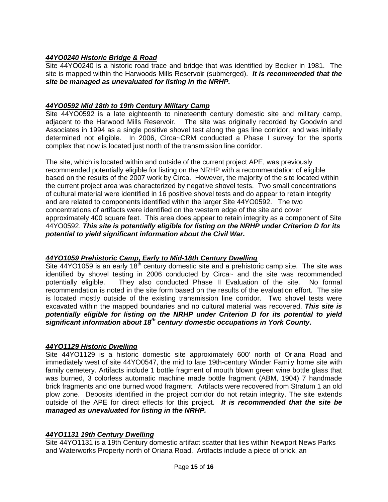### *44YO0240 Historic Bridge & Road*

Site 44YO0240 is a historic road trace and bridge that was identified by Becker in 1981. The site is mapped within the Harwoods Mills Reservoir (submerged). *It is recommended that the site be managed as unevaluated for listing in the NRHP.*

### *44YO0592 Mid 18th to 19th Century Military Camp*

Site 44YO0592 is a late eighteenth to nineteenth century domestic site and military camp, adiacent to the Harwood Mills Reservoir. The site was originally recorded by Goodwin and The site was originally recorded by Goodwin and Associates in 1994 as a single positive shovel test along the gas line corridor, and was initially determined not eligible. In 2006, Circa~CRM conducted a Phase I survey for the sports complex that now is located just north of the transmission line corridor.

The site, which is located within and outside of the current project APE, was previously recommended potentially eligible for listing on the NRHP with a recommendation of eligible based on the results of the 2007 work by Circa. However, the majority of the site located within the current project area was characterized by negative shovel tests. Two small concentrations of cultural material were identified in 16 positive shovel tests and do appear to retain integrity and are related to components identified within the larger Site 44YO0592. The two concentrations of artifacts were identified on the western edge of the site and cover approximately 400 square feet. This area does appear to retain integrity as a component of Site 44YO0592. *This site is potentially eligible for listing on the NRHP under Criterion D for its potential to yield significant information about the Civil War.* 

### *44YO1059 Prehistoric Camp, Early to Mid-18th Century Dwelling*

Site  $44$ YO1059 is an early  $18<sup>th</sup>$  century domestic site and a prehistoric camp site. The site was identified by shovel testing in 2006 conducted by Circa~ and the site was recommended potentially eligible. They also conducted Phase II Evaluation of the site. No formal recommendation is noted in the site form based on the results of the evaluation effort. The site is located mostly outside of the existing transmission line corridor. Two shovel tests were excavated within the mapped boundaries and no cultural material was recovered. *This site is potentially eligible for listing on the NRHP under Criterion D for its potential to yield significant information about 18th century domestic occupations in York County.*

### *44YO1129 Historic Dwelling*

Site 44YO1129 is a historic domestic site approximately 600' north of Oriana Road and immediately west of site 44YO0547, the mid to late 19th-century Winder Family home site with family cemetery. Artifacts include 1 bottle fragment of mouth blown green wine bottle glass that was burned, 3 colorless automatic machine made bottle fragment (ABM, 1904) 7 handmade brick fragments and one burned wood fragment. Artifacts were recovered from Stratum 1 an old plow zone. Deposits identified in the project corridor do not retain integrity. The site extends outside of the APE for direct effects for this project. *It is recommended that the site be managed as unevaluated for listing in the NRHP.*

### *44YO1131 19th Century Dwelling*

Site 44YO1131 is a 19th Century domestic artifact scatter that lies within Newport News Parks and Waterworks Property north of Oriana Road. Artifacts include a piece of brick, an